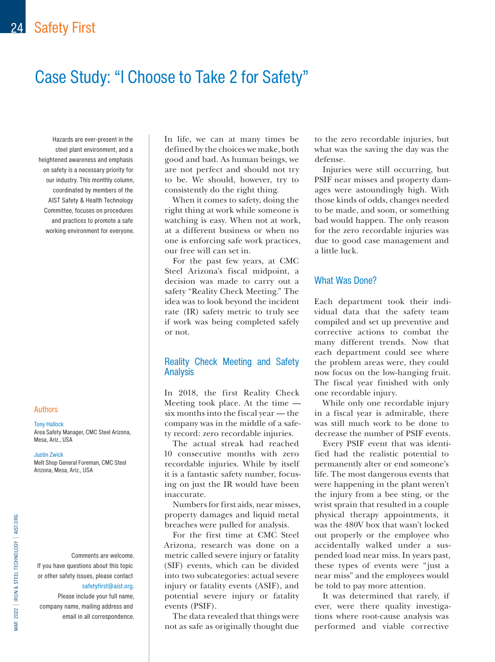# Case Study: "I Choose to Take 2 for Safety"

Hazards are ever-present in the steel plant environment, and a heightened awareness and emphasis on safety is a necessary priority for our industry. This monthly column, coordinated by members of the AIST Safety & Health Technology Committee, focuses on procedures and practices to promote a safe working environment for everyone.

#### Authors

Tony Hallock

Area Safety Manager, CMC Steel Arizona, Mesa, Ariz., USA

#### Justin Zwick

Melt Shop General Foreman, CMC Steel Arizona, Mesa, Ariz., USA

Comments are welcome. If you have questions about this topic or other safety issues, please contact

#### [safetyfirst@aist.org](mailto:safetyfirst%40aist.org?subject=).

Please include your full name, company name, mailing address and email in all correspondence. In life, we can at many times be defined by the choices we make, both good and bad. As human beings, we are not perfect and should not try to be. We should, however, try to consistently do the right thing.

When it comes to safety, doing the right thing at work while someone is watching is easy. When not at work, at a different business or when no one is enforcing safe work practices, our free will can set in.

For the past few years, at CMC Steel Arizona's fiscal midpoint, a decision was made to carry out a safety "Reality Check Meeting." The idea was to look beyond the incident rate (IR) safety metric to truly see if work was being completed safely or not.

### Reality Check Meeting and Safety Analysis

In 2018, the first Reality Check Meeting took place. At the time six months into the fiscal year — the company was in the middle of a safety record: zero recordable injuries.

The actual streak had reached 10 consecutive months with zero recordable injuries. While by itself it is a fantastic safety number, focusing on just the IR would have been inaccurate.

Numbers for first aids, near misses, property damages and liquid metal breaches were pulled for analysis.

For the first time at CMC Steel Arizona, research was done on a metric called severe injury or fatality (SIF) events, which can be divided into two subcategories: actual severe injury or fatality events (ASIF), and potential severe injury or fatality events (PSIF).

The data revealed that things were not as safe as originally thought due

to the zero recordable injuries, but what was the saving the day was the defense.

Injuries were still occurring, but PSIF near misses and property damages were astoundingly high. With those kinds of odds, changes needed to be made, and soon, or something bad would happen. The only reason for the zero recordable injuries was due to good case management and a little luck.

#### What Was Done?

Each department took their individual data that the safety team compiled and set up preventive and corrective actions to combat the many different trends. Now that each department could see where the problem areas were, they could now focus on the low-hanging fruit. The fiscal year finished with only one recordable injury.

While only one recordable injury in a fiscal year is admirable, there was still much work to be done to decrease the number of PSIF events.

Every PSIF event that was identified had the realistic potential to permanently alter or end someone's life. The most dangerous events that were happening in the plant weren't the injury from a bee sting, or the wrist sprain that resulted in a couple physical therapy appointments, it was the 480V box that wasn't locked out properly or the employee who accidentally walked under a suspended load near miss. In years past, these types of events were "just a near miss" and the employees would be told to pay more attention.

It was determined that rarely, if ever, were there quality investigations where root-cause analysis was performed and viable corrective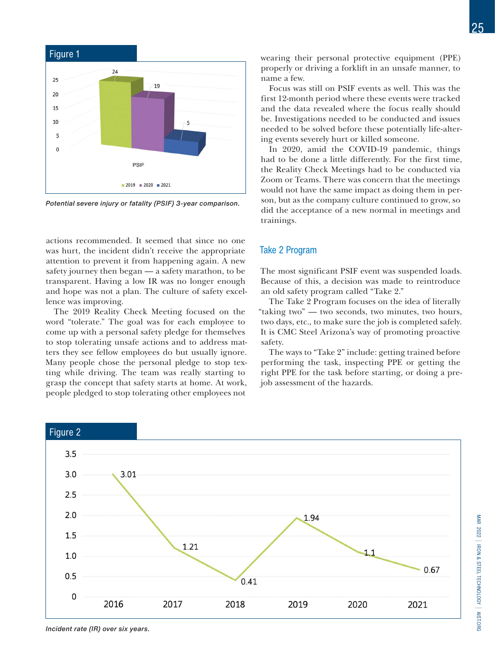

*Potential severe injury or fatality (PSIF) 3-year comparison.*

actions recommended. It seemed that since no one was hurt, the incident didn't receive the appropriate attention to prevent it from happening again. A new safety journey then began — a safety marathon, to be transparent. Having a low IR was no longer enough and hope was not a plan. The culture of safety excellence was improving.

The 2019 Reality Check Meeting focused on the word "tolerate." The goal was for each employee to come up with a personal safety pledge for themselves to stop tolerating unsafe actions and to address matters they see fellow employees do but usually ignore. Many people chose the personal pledge to stop texting while driving. The team was really starting to grasp the concept that safety starts at home. At work, people pledged to stop tolerating other employees not

wearing their personal protective equipment (PPE) properly or driving a forklift in an unsafe manner, to name a few.

Focus was still on PSIF events as well. This was the first 12-month period where these events were tracked and the data revealed where the focus really should be. Investigations needed to be conducted and issues needed to be solved before these potentially life-altering events severely hurt or killed someone.

In 2020, amid the COVID-19 pandemic, things had to be done a little differently. For the first time, the Reality Check Meetings had to be conducted via Zoom or Teams. There was concern that the meetings would not have the same impact as doing them in person, but as the company culture continued to grow, so did the acceptance of a new normal in meetings and trainings.

#### Take 2 Program

The most significant PSIF event was suspended loads. Because of this, a decision was made to reintroduce an old safety program called "Take 2."

The Take 2 Program focuses on the idea of literally "taking two" — two seconds, two minutes, two hours, two days, etc., to make sure the job is completed safely. It is CMC Steel Arizona's way of promoting proactive safety.

The ways to "Take 2" include: getting trained before performing the task, inspecting PPE or getting the right PPE for the task before starting, or doing a prejob assessment of the hazards.



*Incident rate (IR) over six years.*